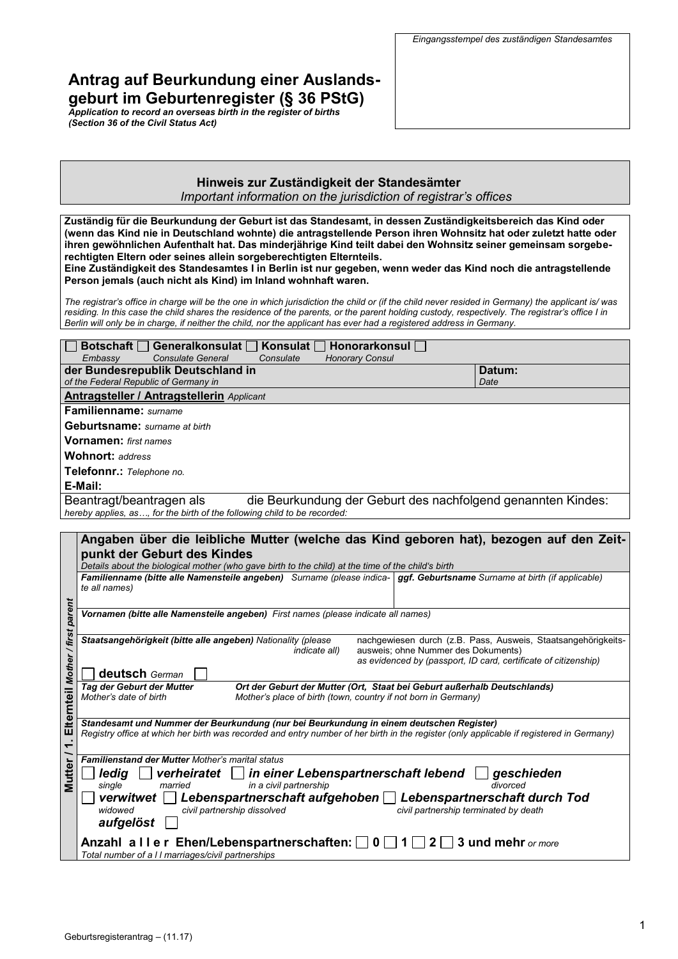# **Antrag auf Beurkundung einer Auslandsgeburt im Geburtenregister (§ 36 PStG)**

*Application to record an overseas birth in the register of births (Section 36 of the Civil Status Act)*

### **Hinweis zur Zuständigkeit der Standesämter**

*Important information on the jurisdiction of registrar's offices*

**Zuständig für die Beurkundung der Geburt ist das Standesamt, in dessen Zuständigkeitsbereich das Kind oder (wenn das Kind nie in Deutschland wohnte) die antragstellende Person ihren Wohnsitz hat oder zuletzt hatte oder ihren gewöhnlichen Aufenthalt hat. Das minderjährige Kind teilt dabei den Wohnsitz seiner gemeinsam sorgeberechtigten Eltern oder seines allein sorgeberechtigten Elternteils.**

**Eine Zuständigkeit des Standesamtes I in Berlin ist nur gegeben, wenn weder das Kind noch die antragstellende Person jemals (auch nicht als Kind) im Inland wohnhaft waren.** 

*The registrar's office in charge will be the one in which jurisdiction the child or (if the child never resided in Germany) the applicant is/ was residing. In this case the child shares the residence of the parents, or the parent holding custody, respectively. The registrar's office I in Berlin will only be in charge, if neither the child, nor the applicant has ever had a registered address in Germany.* 

| <b>Botschaft</b>   Generalkonsulat                                       | Konsulat $\overline{\phantom{a}}$ | Honorarkonsul          |                                                              |
|--------------------------------------------------------------------------|-----------------------------------|------------------------|--------------------------------------------------------------|
| <b>Consulate General</b><br>Embassy                                      | Consulate                         | <b>Honorary Consul</b> |                                                              |
| der Bundesrepublik Deutschland in                                        |                                   |                        | Datum:                                                       |
| of the Federal Republic of Germany in                                    |                                   |                        | Date                                                         |
| <b>Antragsteller / Antragstellerin Applicant</b>                         |                                   |                        |                                                              |
| <b>Familienname:</b> surname                                             |                                   |                        |                                                              |
| <b>Geburtsname:</b> surname at birth                                     |                                   |                        |                                                              |
| <b>Vornamen:</b> first names                                             |                                   |                        |                                                              |
| Wohnort: address                                                         |                                   |                        |                                                              |
| Telefonnr.: Telephone no.                                                |                                   |                        |                                                              |
| E-Mail:                                                                  |                                   |                        |                                                              |
| Beantragt/beantragen als                                                 |                                   |                        | die Beurkundung der Geburt des nachfolgend genannten Kindes: |
| hereby applies, as, for the birth of the following child to be recorded: |                                   |                        |                                                              |

|                                                                                             | Angaben über die leibliche Mutter (welche das Kind geboren hat), bezogen auf den Zeit-                                                                                                                                                                                                                                                                                                  |  |  |  |
|---------------------------------------------------------------------------------------------|-----------------------------------------------------------------------------------------------------------------------------------------------------------------------------------------------------------------------------------------------------------------------------------------------------------------------------------------------------------------------------------------|--|--|--|
|                                                                                             | punkt der Geburt des Kindes                                                                                                                                                                                                                                                                                                                                                             |  |  |  |
|                                                                                             | Details about the biological mother (who gave birth to the child) at the time of the child's birth                                                                                                                                                                                                                                                                                      |  |  |  |
|                                                                                             | Familienname (bitte alle Namensteile angeben) Surname (please indica-   ggf. Geburtsname Surname at birth (if applicable)<br>te all names)                                                                                                                                                                                                                                              |  |  |  |
| parent<br>Vornamen (bitte alle Namensteile angeben) First names (please indicate all names) |                                                                                                                                                                                                                                                                                                                                                                                         |  |  |  |
| first<br>Mother                                                                             | Staatsangehörigkeit (bitte alle angeben) Nationality (please<br>nachgewiesen durch (z.B. Pass, Ausweis, Staatsangehörigkeits-<br>ausweis; ohne Nummer des Dokuments)<br><i>indicate all)</i><br>as evidenced by (passport, ID card, certificate of citizenship)<br>deutsch German                                                                                                       |  |  |  |
| Elternteil                                                                                  | Tag der Geburt der Mutter<br>Ort der Geburt der Mutter (Ort, Staat bei Geburt außerhalb Deutschlands)<br>Mother's date of birth<br>Mother's place of birth (town, country if not born in Germany)                                                                                                                                                                                       |  |  |  |
|                                                                                             | Standesamt und Nummer der Beurkundung (nur bei Beurkundung in einem deutschen Register)<br>Registry office at which her birth was recorded and entry number of her birth in the register (only applicable if registered in Germany)                                                                                                                                                     |  |  |  |
| <b>Mutter</b>                                                                               | <b>Familienstand der Mutter Mother's marital status</b><br>ledig<br>verheiratet     in einer Lebenspartnerschaft lebend    <br>geschieden<br>in a civil partnership<br>married<br>divorced<br>single<br>Lebenspartnerschaft aufgehoben   Lebenspartnerschaft durch Tod<br>verwitwet    <br>civil partnership dissolved<br>widowed<br>civil partnership terminated by death<br>aufgelöst |  |  |  |
|                                                                                             | Anzahl aller Ehen/Lebenspartnerschaften: $\Box$ 0 $\Box$ 1 $\Box$ 2 $\Box$ 3 und mehr or more<br>Total number of a II marriages/civil partnerships                                                                                                                                                                                                                                      |  |  |  |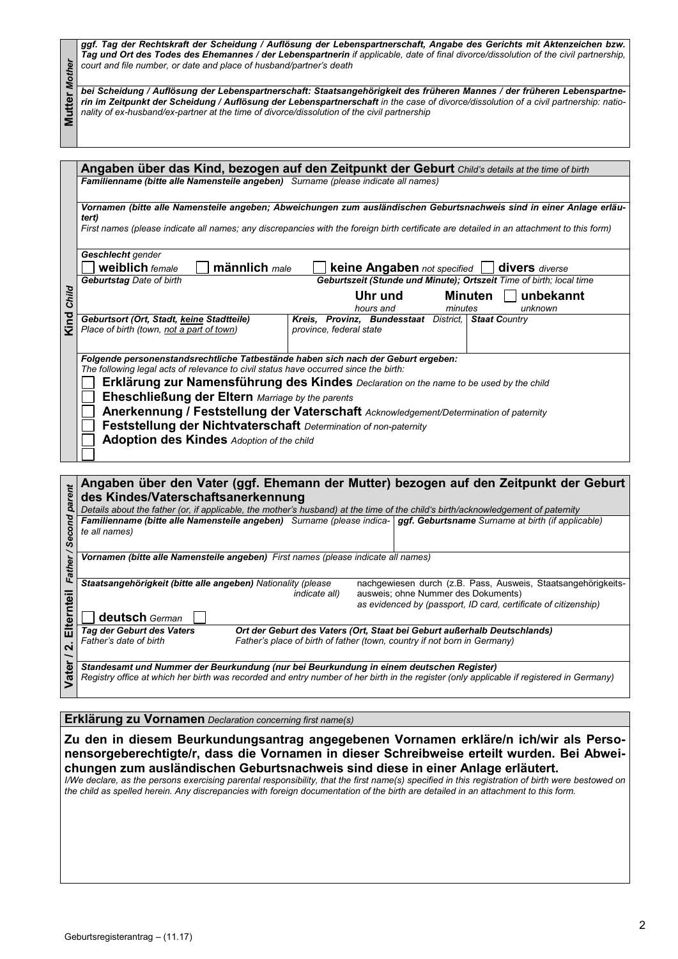*ggf. Tag der Rechtskraft der Scheidung / Auflösung der Lebenspartnerschaft, Angabe des Gerichts mit Aktenzeichen bzw. Tag und Ort des Todes des Ehemannes / der Lebenspartnerin if applicable, date of final divorce/dissolution of the civil partnership, court and file number, or date and place of husband/partner's death*

|                                                                                                                                                                                                                                                                                        | court and file number, or date and place of husband/partner's death                                                                                                                                                                                                                                                                                            |  |  |  |
|----------------------------------------------------------------------------------------------------------------------------------------------------------------------------------------------------------------------------------------------------------------------------------------|----------------------------------------------------------------------------------------------------------------------------------------------------------------------------------------------------------------------------------------------------------------------------------------------------------------------------------------------------------------|--|--|--|
| <b>Mutter Mother</b>                                                                                                                                                                                                                                                                   | bei Scheidung / Auflösung der Lebenspartnerschaft: Staatsangehörigkeit des früheren Mannes / der früheren Lebenspartne-<br>rin im Zeitpunkt der Scheidung / Auflösung der Lebenspartnerschaft in the case of divorce/dissolution of a civil partnership: natio-<br>nality of ex-husband/ex-partner at the time of divorce/dissolution of the civil partnership |  |  |  |
|                                                                                                                                                                                                                                                                                        |                                                                                                                                                                                                                                                                                                                                                                |  |  |  |
|                                                                                                                                                                                                                                                                                        | Angaben über das Kind, bezogen auf den Zeitpunkt der Geburt Child's details at the time of birth                                                                                                                                                                                                                                                               |  |  |  |
|                                                                                                                                                                                                                                                                                        | Familienname (bitte alle Namensteile angeben) Surname (please indicate all names)                                                                                                                                                                                                                                                                              |  |  |  |
|                                                                                                                                                                                                                                                                                        | Vornamen (bitte alle Namensteile angeben; Abweichungen zum ausländischen Geburtsnachweis sind in einer Anlage erläu-                                                                                                                                                                                                                                           |  |  |  |
|                                                                                                                                                                                                                                                                                        | tert)<br>First names (please indicate all names; any discrepancies with the foreign birth certificate are detailed in an attachment to this form)                                                                                                                                                                                                              |  |  |  |
|                                                                                                                                                                                                                                                                                        | Geschlecht gender<br>männlich male<br><b>weiblich</b> female<br><b>keine Angaben</b> not specified<br>divers diverse                                                                                                                                                                                                                                           |  |  |  |
|                                                                                                                                                                                                                                                                                        | Geburtszeit (Stunde und Minute); Ortszeit Time of birth; local time<br><b>Geburtstag Date of birth</b>                                                                                                                                                                                                                                                         |  |  |  |
|                                                                                                                                                                                                                                                                                        | Uhr und<br><b>Minuten</b><br>unbekannt<br>hours and<br>minutes<br>unknown                                                                                                                                                                                                                                                                                      |  |  |  |
| <b>Kind Child</b>                                                                                                                                                                                                                                                                      | Kreis, Provinz, Bundesstaat District, Staat Country<br>Geburtsort (Ort, Stadt, keine Stadtteile)<br>Place of birth (town, not a part of town)<br>province, federal state                                                                                                                                                                                       |  |  |  |
|                                                                                                                                                                                                                                                                                        | Folgende personenstandsrechtliche Tatbestände haben sich nach der Geburt ergeben:<br>The following legal acts of relevance to civil status have occurred since the birth:<br>Erklärung zur Namensführung des Kindes Declaration on the name to be used by the child                                                                                            |  |  |  |
|                                                                                                                                                                                                                                                                                        | Eheschließung der Eltern Marriage by the parents                                                                                                                                                                                                                                                                                                               |  |  |  |
|                                                                                                                                                                                                                                                                                        | Anerkennung / Feststellung der Vaterschaft Acknowledgement/Determination of paternity                                                                                                                                                                                                                                                                          |  |  |  |
|                                                                                                                                                                                                                                                                                        | Feststellung der Nichtvaterschaft Determination of non-paternity                                                                                                                                                                                                                                                                                               |  |  |  |
|                                                                                                                                                                                                                                                                                        | <b>Adoption des Kindes Adoption of the child</b>                                                                                                                                                                                                                                                                                                               |  |  |  |
|                                                                                                                                                                                                                                                                                        |                                                                                                                                                                                                                                                                                                                                                                |  |  |  |
|                                                                                                                                                                                                                                                                                        | Angaben über den Vater (ggf. Ehemann der Mutter) bezogen auf den Zeitpunkt der Geburt<br>des Kindes/Vaterschaftsanerkennung                                                                                                                                                                                                                                    |  |  |  |
|                                                                                                                                                                                                                                                                                        | Details about the father (or, if applicable, the mother's husband) at the time of the child's birth/acknowledgement of paternity<br>Familienname (bitte alle Namensteile angeben) Surname (please indica-   ggf. Geburtsname Surname at birth (if applicable)                                                                                                  |  |  |  |
| her / Second parent                                                                                                                                                                                                                                                                    | te all names)                                                                                                                                                                                                                                                                                                                                                  |  |  |  |
|                                                                                                                                                                                                                                                                                        | Vornamen (bitte alle Namensteile angeben) First names (please indicate all names)                                                                                                                                                                                                                                                                              |  |  |  |
| $\tilde{f}$                                                                                                                                                                                                                                                                            | Staatsangehörigkeit (bitte alle angeben) Nationality (please<br>nachgewiesen durch (z.B. Pass, Ausweis, Staatsangehörigkeits-                                                                                                                                                                                                                                  |  |  |  |
|                                                                                                                                                                                                                                                                                        | <i>indicate all)</i><br>ausweis; ohne Nummer des Dokuments)<br>as evidenced by (passport, ID card, certificate of citizenship)                                                                                                                                                                                                                                 |  |  |  |
| Elternteil                                                                                                                                                                                                                                                                             | deutsch German                                                                                                                                                                                                                                                                                                                                                 |  |  |  |
| $\overline{\mathbf{u}}$                                                                                                                                                                                                                                                                | Tag der Geburt des Vaters<br>Ort der Geburt des Vaters (Ort, Staat bei Geburt außerhalb Deutschlands)<br>Father's date of birth<br>Father's place of birth of father (town, country if not born in Germany)                                                                                                                                                    |  |  |  |
| Vater /                                                                                                                                                                                                                                                                                | Standesamt und Nummer der Beurkundung (nur bei Beurkundung in einem deutschen Register)<br>Registry office at which her birth was recorded and entry number of her birth in the register (only applicable if registered in Germany)                                                                                                                            |  |  |  |
|                                                                                                                                                                                                                                                                                        |                                                                                                                                                                                                                                                                                                                                                                |  |  |  |
|                                                                                                                                                                                                                                                                                        | Erklärung zu Vornamen Declaration concerning first name(s)                                                                                                                                                                                                                                                                                                     |  |  |  |
|                                                                                                                                                                                                                                                                                        | Zu den in diesem Beurkundungsantrag angegebenen Vornamen erkläre/n ich/wir als Perso-                                                                                                                                                                                                                                                                          |  |  |  |
|                                                                                                                                                                                                                                                                                        | nensorgeberechtigte/r, dass die Vornamen in dieser Schreibweise erteilt wurden. Bei Abwei-                                                                                                                                                                                                                                                                     |  |  |  |
| chungen zum ausländischen Geburtsnachweis sind diese in einer Anlage erläutert.                                                                                                                                                                                                        |                                                                                                                                                                                                                                                                                                                                                                |  |  |  |
| I/We declare, as the persons exercising parental responsibility, that the first name(s) specified in this registration of birth were bestowed on<br>the child as spelled herein. Any discrepancies with foreign documentation of the birth are detailed in an attachment to this form. |                                                                                                                                                                                                                                                                                                                                                                |  |  |  |
|                                                                                                                                                                                                                                                                                        |                                                                                                                                                                                                                                                                                                                                                                |  |  |  |
|                                                                                                                                                                                                                                                                                        |                                                                                                                                                                                                                                                                                                                                                                |  |  |  |
|                                                                                                                                                                                                                                                                                        |                                                                                                                                                                                                                                                                                                                                                                |  |  |  |
|                                                                                                                                                                                                                                                                                        |                                                                                                                                                                                                                                                                                                                                                                |  |  |  |
|                                                                                                                                                                                                                                                                                        |                                                                                                                                                                                                                                                                                                                                                                |  |  |  |
|                                                                                                                                                                                                                                                                                        |                                                                                                                                                                                                                                                                                                                                                                |  |  |  |
|                                                                                                                                                                                                                                                                                        |                                                                                                                                                                                                                                                                                                                                                                |  |  |  |
|                                                                                                                                                                                                                                                                                        |                                                                                                                                                                                                                                                                                                                                                                |  |  |  |
|                                                                                                                                                                                                                                                                                        | Geburtsregisterantrag - (11.17)                                                                                                                                                                                                                                                                                                                                |  |  |  |

|        |                                                                                                                                  |                                                                                                                                                      |  |  | Angaben über den Vater (ggf. Ehemann der Mutter) bezogen auf den Zeitpunkt der Geburt                                                    |
|--------|----------------------------------------------------------------------------------------------------------------------------------|------------------------------------------------------------------------------------------------------------------------------------------------------|--|--|------------------------------------------------------------------------------------------------------------------------------------------|
|        | des Kindes/Vaterschaftsanerkennung                                                                                               |                                                                                                                                                      |  |  |                                                                                                                                          |
|        | Details about the father (or, if applicable, the mother's husband) at the time of the child's birth/acknowledgement of paternity |                                                                                                                                                      |  |  |                                                                                                                                          |
|        | te all names)                                                                                                                    |                                                                                                                                                      |  |  | Familienname (bitte alle Namensteile angeben) Surname (please indica-   ggf. Geburtsname Surname at birth (if applicable)                |
|        |                                                                                                                                  |                                                                                                                                                      |  |  |                                                                                                                                          |
|        | Vornamen (bitte alle Namensteile angeben) First names (please indicate all names)                                                |                                                                                                                                                      |  |  |                                                                                                                                          |
| LC     |                                                                                                                                  | Staatsangehörigkeit (bitte alle angeben) Nationality (please<br>ausweis; ohne Nummer des Dokuments)<br><i>indicate all)</i>                          |  |  | nachgewiesen durch (z.B. Pass, Ausweis, Staatsangehörigkeits-<br>as evidenced by (passport, ID card, certificate of citizenship)         |
|        | deutsch German                                                                                                                   |                                                                                                                                                      |  |  |                                                                                                                                          |
|        | Tag der Geburt des Vaters<br>Father's date of birth                                                                              | Ort der Geburt des Vaters (Ort, Staat bei Geburt außerhalb Deutschlands)<br>Father's place of birth of father (town, country if not born in Germany) |  |  |                                                                                                                                          |
| 9<br>Š | Standesamt und Nummer der Beurkundung (nur bei Beurkundung in einem deutschen Register)                                          |                                                                                                                                                      |  |  | Registry office at which her birth was recorded and entry number of her birth in the register (only applicable if registered in Germany) |

#### **Erklärung zu Vornamen** *Declaration concerning first name(s)*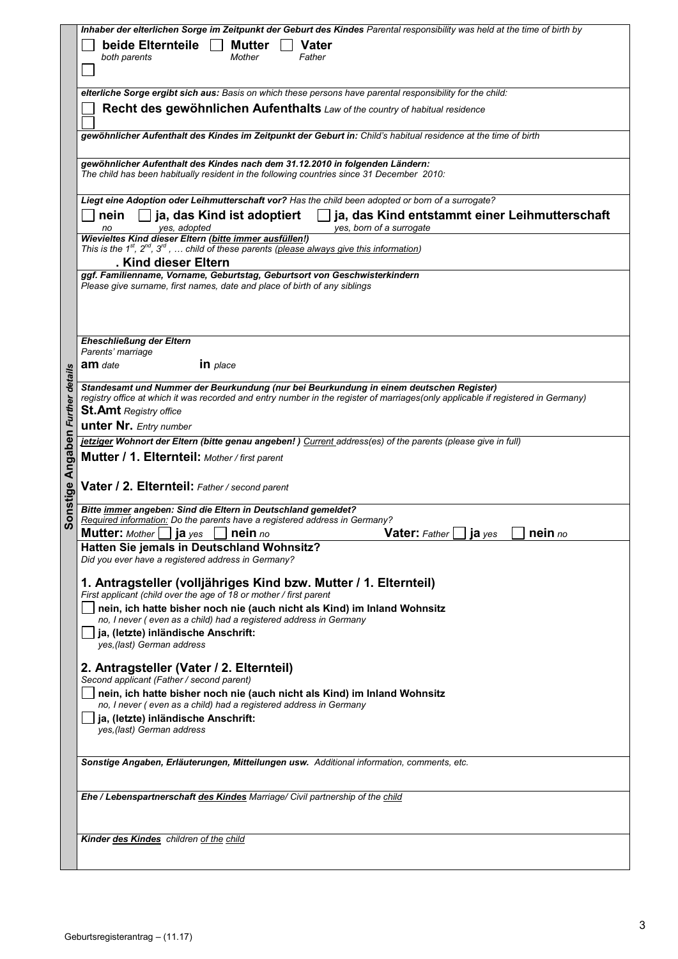|                        | Inhaber der elterlichen Sorge im Zeitpunkt der Geburt des Kindes Parental responsibility was held at the time of birth by                                                                                                   |
|------------------------|-----------------------------------------------------------------------------------------------------------------------------------------------------------------------------------------------------------------------------|
|                        | beide Elternteile<br>Mutter<br><b>Vater</b>                                                                                                                                                                                 |
|                        | both parents<br>Mother<br>Father                                                                                                                                                                                            |
|                        |                                                                                                                                                                                                                             |
|                        |                                                                                                                                                                                                                             |
|                        | elterliche Sorge ergibt sich aus: Basis on which these persons have parental responsibility for the child:                                                                                                                  |
|                        | Recht des gewöhnlichen Aufenthalts Law of the country of habitual residence                                                                                                                                                 |
|                        | gewöhnlicher Aufenthalt des Kindes im Zeitpunkt der Geburt in: Child's habitual residence at the time of birth                                                                                                              |
|                        |                                                                                                                                                                                                                             |
|                        | gewöhnlicher Aufenthalt des Kindes nach dem 31.12.2010 in folgenden Ländern:                                                                                                                                                |
|                        | The child has been habitually resident in the following countries since 31 December 2010:                                                                                                                                   |
|                        |                                                                                                                                                                                                                             |
|                        | Liegt eine Adoption oder Leihmutterschaft vor? Has the child been adopted or born of a surrogate?                                                                                                                           |
|                        | $\Box$ ja, das Kind ist adoptiert<br>ja, das Kind entstammt einer Leihmutterschaft<br>nein                                                                                                                                  |
|                        | yes, born of a surrogate<br>yes, adopted<br>no<br>Wievieltes Kind dieser Eltern (bitte immer ausfüllen!)                                                                                                                    |
|                        | This is the $1^{st}$ , $2^{nd}$ , $3^{rd}$ ,  child of these parents (please always give this information)                                                                                                                  |
|                        | . Kind dieser Eltern                                                                                                                                                                                                        |
|                        | ggf. Familienname, Vorname, Geburtstag, Geburtsort von Geschwisterkindern                                                                                                                                                   |
|                        | Please give surname, first names, date and place of birth of any siblings                                                                                                                                                   |
|                        |                                                                                                                                                                                                                             |
|                        |                                                                                                                                                                                                                             |
|                        | Eheschließung der Eltern                                                                                                                                                                                                    |
|                        | Parents' marriage                                                                                                                                                                                                           |
|                        | in place<br><b>am</b> date                                                                                                                                                                                                  |
|                        |                                                                                                                                                                                                                             |
| <b>Further details</b> | Standesamt und Nummer der Beurkundung (nur bei Beurkundung in einem deutschen Register)<br>registry office at which it was recorded and entry number in the register of marriages(only applicable if registered in Germany) |
|                        | <b>St.Amt</b> Registry office                                                                                                                                                                                               |
|                        | <b>unter Nr.</b> Entry number                                                                                                                                                                                               |
|                        | jetziger Wohnort der Eltern (bitte genau angeben!) Current address(es) of the parents (please give in full)                                                                                                                 |
| Angaben                | Mutter / 1. Elternteil: Mother / first parent                                                                                                                                                                               |
|                        |                                                                                                                                                                                                                             |
|                        | Vater / 2. Elternteil: Father / second parent                                                                                                                                                                               |
| onstige                |                                                                                                                                                                                                                             |
|                        | Bitte immer angeben: Sind die Eltern in Deutschland gemeldet?                                                                                                                                                               |
| Ŏ,                     | Required information: Do the parents have a registered address in Germany?                                                                                                                                                  |
|                        | <b>Mutter:</b> Mother $\Box$ <b>ja</b> yes $\Box$ <b>nein</b> no<br><b>Vater:</b> Father $\Box$ <b>ja</b> yes<br>$\Box$ nein no                                                                                             |
|                        | Hatten Sie jemals in Deutschland Wohnsitz?<br>Did you ever have a registered address in Germany?                                                                                                                            |
|                        |                                                                                                                                                                                                                             |
|                        | 1. Antragsteller (volljähriges Kind bzw. Mutter / 1. Elternteil)                                                                                                                                                            |
|                        | First applicant (child over the age of 18 or mother / first parent                                                                                                                                                          |
|                        | nein, ich hatte bisher noch nie (auch nicht als Kind) im Inland Wohnsitz<br>no, I never (even as a child) had a registered address in Germany                                                                               |
|                        | ja, (letzte) inländische Anschrift:                                                                                                                                                                                         |
|                        | yes, (last) German address                                                                                                                                                                                                  |
|                        |                                                                                                                                                                                                                             |
|                        | 2. Antragsteller (Vater / 2. Elternteil)<br>Second applicant (Father / second parent)                                                                                                                                       |
|                        | nein, ich hatte bisher noch nie (auch nicht als Kind) im Inland Wohnsitz                                                                                                                                                    |
|                        | no, I never (even as a child) had a registered address in Germany                                                                                                                                                           |
|                        | ja, (letzte) inländische Anschrift:                                                                                                                                                                                         |
|                        | yes, (last) German address                                                                                                                                                                                                  |
|                        |                                                                                                                                                                                                                             |
|                        | Sonstige Angaben, Erläuterungen, Mitteilungen usw. Additional information, comments, etc.                                                                                                                                   |
|                        |                                                                                                                                                                                                                             |
|                        | Ehe / Lebenspartnerschaft des Kindes Marriage/ Civil partnership of the child                                                                                                                                               |
|                        |                                                                                                                                                                                                                             |
|                        |                                                                                                                                                                                                                             |
|                        | Kinder des Kindes children of the child                                                                                                                                                                                     |
|                        |                                                                                                                                                                                                                             |
|                        |                                                                                                                                                                                                                             |
|                        |                                                                                                                                                                                                                             |
|                        |                                                                                                                                                                                                                             |
|                        |                                                                                                                                                                                                                             |
|                        |                                                                                                                                                                                                                             |
|                        | Geburtsregisterantrag - (11.17)                                                                                                                                                                                             |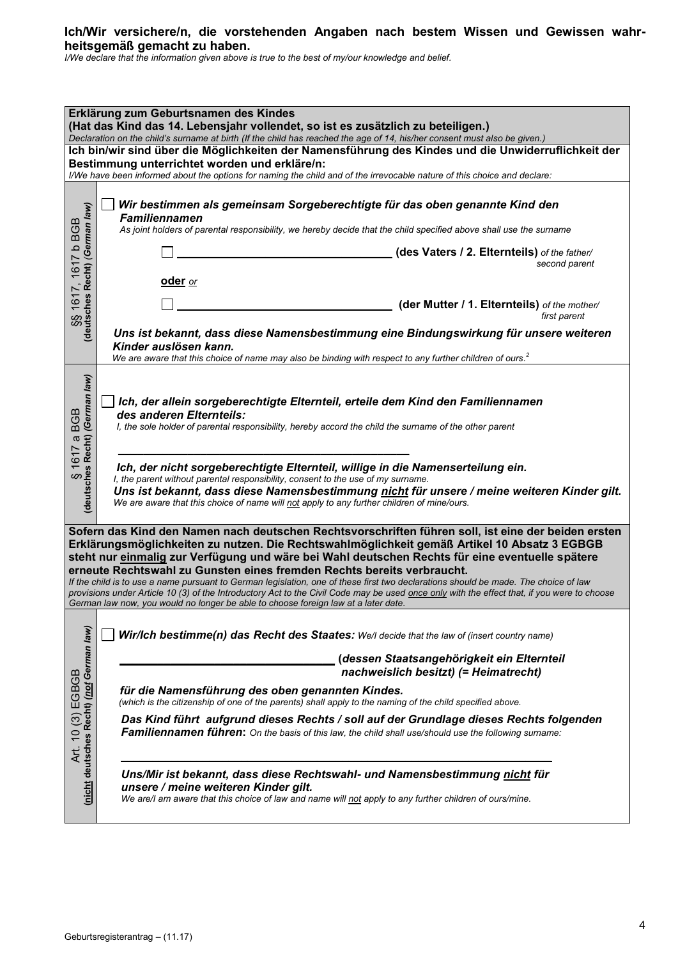## **Ich/Wir versichere/n, die vorstehenden Angaben nach bestem Wissen und Gewissen wahrheitsgemäß gemacht zu haben.**

*I/We declare that the information given above is true to the best of my/our knowledge and belief.*

| Erklärung zum Geburtsnamen des Kindes<br>(Hat das Kind das 14. Lebensjahr vollendet, so ist es zusätzlich zu beteiligen.)                                                                                                                                                                                                                                                                                                                                                                                                                                                                                                                                                                                                                                    |                                                                                                                                                                                                                                                                                                                                                                                                                                                                                                                                                                                           |  |  |  |
|--------------------------------------------------------------------------------------------------------------------------------------------------------------------------------------------------------------------------------------------------------------------------------------------------------------------------------------------------------------------------------------------------------------------------------------------------------------------------------------------------------------------------------------------------------------------------------------------------------------------------------------------------------------------------------------------------------------------------------------------------------------|-------------------------------------------------------------------------------------------------------------------------------------------------------------------------------------------------------------------------------------------------------------------------------------------------------------------------------------------------------------------------------------------------------------------------------------------------------------------------------------------------------------------------------------------------------------------------------------------|--|--|--|
| Declaration on the child's surname at birth (If the child has reached the age of 14, his/her consent must also be given.)<br>Ich bin/wir sind über die Möglichkeiten der Namensführung des Kindes und die Unwiderruflichkeit der<br>Bestimmung unterrichtet worden und erkläre/n:                                                                                                                                                                                                                                                                                                                                                                                                                                                                            |                                                                                                                                                                                                                                                                                                                                                                                                                                                                                                                                                                                           |  |  |  |
| SS 1617, 1617 b BGB<br>(deutsches Recht) <i>(German law)</i>                                                                                                                                                                                                                                                                                                                                                                                                                                                                                                                                                                                                                                                                                                 | I/We have been informed about the options for naming the child and of the irrevocable nature of this choice and declare:<br>Wir bestimmen als gemeinsam Sorgeberechtigte für das oben genannte Kind den<br><b>Familiennamen</b><br>As joint holders of parental responsibility, we hereby decide that the child specified above shall use the surname<br>(des Vaters / 2. Elternteils) of the father/<br>second parent<br>oder or<br>(der Mutter / 1. Elternteils) of the mother/<br>first parent                                                                                         |  |  |  |
|                                                                                                                                                                                                                                                                                                                                                                                                                                                                                                                                                                                                                                                                                                                                                              | Uns ist bekannt, dass diese Namensbestimmung eine Bindungswirkung für unsere weiteren<br>Kinder auslösen kann.<br>We are aware that this choice of name may also be binding with respect to any further children of ours. <sup>2</sup>                                                                                                                                                                                                                                                                                                                                                    |  |  |  |
| (deutsches Recht) (German law)<br><b>BGB</b><br>$\sigma$<br>1617<br>S                                                                                                                                                                                                                                                                                                                                                                                                                                                                                                                                                                                                                                                                                        | Ich, der allein sorgeberechtigte Elternteil, erteile dem Kind den Familiennamen<br>des anderen Elternteils:<br>I, the sole holder of parental responsibility, hereby accord the child the surname of the other parent<br>Ich, der nicht sorgeberechtigte Elternteil, willige in die Namenserteilung ein.<br>I, the parent without parental responsibility, consent to the use of my surname.<br>Uns ist bekannt, dass diese Namensbestimmung nicht für unsere / meine weiteren Kinder gilt.<br>We are aware that this choice of name will not apply to any further children of mine/ours. |  |  |  |
| Sofern das Kind den Namen nach deutschen Rechtsvorschriften führen soll, ist eine der beiden ersten<br>Erklärungsmöglichkeiten zu nutzen. Die Rechtswahlmöglichkeit gemäß Artikel 10 Absatz 3 EGBGB<br>steht nur einmalig zur Verfügung und wäre bei Wahl deutschen Rechts für eine eventuelle spätere<br>erneute Rechtswahl zu Gunsten eines fremden Rechts bereits verbraucht.<br>If the child is to use a name pursuant to German legislation, one of these first two declarations should be made. The choice of law<br>provisions under Article 10 (3) of the Introductory Act to the Civil Code may be used once only with the effect that, if you were to choose<br>German law now, you would no longer be able to choose foreign law at a later date. |                                                                                                                                                                                                                                                                                                                                                                                                                                                                                                                                                                                           |  |  |  |
|                                                                                                                                                                                                                                                                                                                                                                                                                                                                                                                                                                                                                                                                                                                                                              | Wir/Ich bestimme(n) das Recht des Staates: We/I decide that the law of (insert country name)<br>(dessen Staatsangehörigkeit ein Elternteil<br>nachweislich besitzt) (= Heimatrecht)                                                                                                                                                                                                                                                                                                                                                                                                       |  |  |  |
| (nicht deutsches Recht) (not German law)<br>10(3) EGBGB                                                                                                                                                                                                                                                                                                                                                                                                                                                                                                                                                                                                                                                                                                      | für die Namensführung des oben genannten Kindes.<br>(which is the citizenship of one of the parents) shall apply to the naming of the child specified above.<br>Das Kind führt aufgrund dieses Rechts / soll auf der Grundlage dieses Rechts folgenden<br>Familiennamen führen: On the basis of this law, the child shall use/should use the following surname:                                                                                                                                                                                                                           |  |  |  |
| Art.                                                                                                                                                                                                                                                                                                                                                                                                                                                                                                                                                                                                                                                                                                                                                         | Uns/Mir ist bekannt, dass diese Rechtswahl- und Namensbestimmung nicht für<br>unsere / meine weiteren Kinder gilt.<br>We are/I am aware that this choice of law and name will not apply to any further children of ours/mine.                                                                                                                                                                                                                                                                                                                                                             |  |  |  |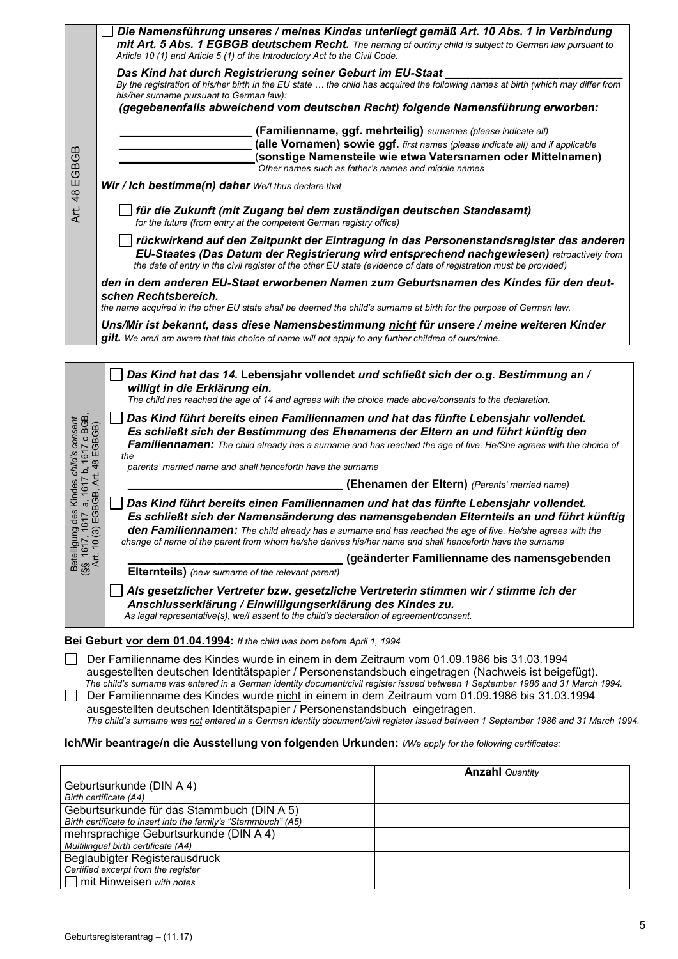|                                                                                      | Article 10 (1) and Article 5 (1) of the Introductory Act to the Civil Code.                                                                                                                                                                                                                                                                                                                              | Die Namensführung unseres / meines Kindes unterliegt gemäß Art. 10 Abs. 1 in Verbindung<br>mit Art. 5 Abs. 1 EGBGB deutschem Recht. The naming of our/my child is subject to German law pursuant to                                                                                          |  |
|--------------------------------------------------------------------------------------|----------------------------------------------------------------------------------------------------------------------------------------------------------------------------------------------------------------------------------------------------------------------------------------------------------------------------------------------------------------------------------------------------------|----------------------------------------------------------------------------------------------------------------------------------------------------------------------------------------------------------------------------------------------------------------------------------------------|--|
|                                                                                      | Das Kind hat durch Registrierung seiner Geburt im EU-Staat<br>his/her surname pursuant to German law):                                                                                                                                                                                                                                                                                                   | By the registration of his/her birth in the EU state  the child has acquired the following names at birth (which may differ from                                                                                                                                                             |  |
|                                                                                      | (gegebenenfalls abweichend vom deutschen Recht) folgende Namensführung erworben:                                                                                                                                                                                                                                                                                                                         |                                                                                                                                                                                                                                                                                              |  |
|                                                                                      |                                                                                                                                                                                                                                                                                                                                                                                                          | (Familienname, ggf. mehrteilig) surnames (please indicate all)                                                                                                                                                                                                                               |  |
| 48 EGBGB                                                                             |                                                                                                                                                                                                                                                                                                                                                                                                          | (alle Vornamen) sowie ggf. first names (please indicate all) and if applicable<br>(sonstige Namensteile wie etwa Vatersnamen oder Mittelnamen)<br>Other names such as father's names and middle names                                                                                        |  |
|                                                                                      | Wir / Ich bestimme(n) daher We/I thus declare that                                                                                                                                                                                                                                                                                                                                                       |                                                                                                                                                                                                                                                                                              |  |
| Art.                                                                                 | für die Zukunft (mit Zugang bei dem zuständigen deutschen Standesamt)<br>for the future (from entry at the competent German registry office)                                                                                                                                                                                                                                                             |                                                                                                                                                                                                                                                                                              |  |
|                                                                                      | rückwirkend auf den Zeitpunkt der Eintragung in das Personenstandsregister des anderen<br>EU-Staates (Das Datum der Registrierung wird entsprechend nachgewiesen) retroactively from<br>the date of entry in the civil register of the other EU state (evidence of date of registration must be provided)                                                                                                |                                                                                                                                                                                                                                                                                              |  |
|                                                                                      | schen Rechtsbereich.                                                                                                                                                                                                                                                                                                                                                                                     | den in dem anderen EU-Staat erworbenen Namen zum Geburtsnamen des Kindes für den deut-                                                                                                                                                                                                       |  |
|                                                                                      | the name acquired in the other EU state shall be deemed the child's surname at birth for the purpose of German law.                                                                                                                                                                                                                                                                                      |                                                                                                                                                                                                                                                                                              |  |
|                                                                                      | Uns/Mir ist bekannt, dass diese Namensbestimmung nicht für unsere / meine weiteren Kinder<br><b>gilt.</b> We are/l am aware that this choice of name will not apply to any further children of ours/mine.                                                                                                                                                                                                |                                                                                                                                                                                                                                                                                              |  |
|                                                                                      | willigt in die Erklärung ein.                                                                                                                                                                                                                                                                                                                                                                            | Das Kind hat das 14. Lebensjahr vollendet und schließt sich der o.g. Bestimmung an /                                                                                                                                                                                                         |  |
|                                                                                      | The child has reached the age of 14 and agrees with the choice made above/consents to the declaration.                                                                                                                                                                                                                                                                                                   |                                                                                                                                                                                                                                                                                              |  |
| es Kindes <i>child's consent</i><br>7 a, 1617 b, 1617 c BGB<br>(GBGB, Art. 48 EGBGB) |                                                                                                                                                                                                                                                                                                                                                                                                          | Das Kind führt bereits einen Familiennamen und hat das fünfte Lebensjahr vollendet.<br>Es schließt sich der Bestimmung des Ehenamens der Eltern an und führt künftig den<br>Familiennamen: The child already has a surname and has reached the age of five. He/She agrees with the choice of |  |
|                                                                                      | the<br>parents' married name and shall henceforth have the surname                                                                                                                                                                                                                                                                                                                                       |                                                                                                                                                                                                                                                                                              |  |
|                                                                                      | (Ehenamen der Eltern) (Parents' married name)                                                                                                                                                                                                                                                                                                                                                            |                                                                                                                                                                                                                                                                                              |  |
| des<br>Beteiligung de<br>(§§  1617, 1617)<br>Art. 10 (3) E(                          | Das Kind führt bereits einen Familiennamen und hat das fünfte Lebensjahr vollendet.<br>Es schließt sich der Namensänderung des namensgebenden Elternteils an und führt künftig<br>den Familiennamen: The child already has a surname and has reached the age of five. He/she agrees with the<br>change of name of the parent from whom he/she derives his/her name and shall henceforth have the surname |                                                                                                                                                                                                                                                                                              |  |
|                                                                                      |                                                                                                                                                                                                                                                                                                                                                                                                          | (geänderter Familienname des namensgebenden                                                                                                                                                                                                                                                  |  |
|                                                                                      | Elternteils) (new surname of the relevant parent)                                                                                                                                                                                                                                                                                                                                                        |                                                                                                                                                                                                                                                                                              |  |
|                                                                                      | Als gesetzlicher Vertreter bzw. gesetzliche Vertreterin stimmen wir / stimme ich der<br>Anschlusserklärung / Einwilligungserklärung des Kindes zu.<br>As legal representative(s), we/l assent to the child's declaration of agreement/consent.                                                                                                                                                           |                                                                                                                                                                                                                                                                                              |  |
|                                                                                      | Bei Geburt vor dem 01.04.1994: If the child was born before April 1, 1994                                                                                                                                                                                                                                                                                                                                |                                                                                                                                                                                                                                                                                              |  |
|                                                                                      | Der Familienname des Kindes wurde in einem in dem Zeitraum vom 01.09.1986 bis 31.03.1994<br>ausgestellten deutschen Identitätspapier / Personenstandsbuch eingetragen (Nachweis ist beigefügt).<br>Der Familienname des Kindes wurde nicht in einem in dem Zeitraum vom 01.09.1986 bis 31.03.1994<br>ausgestellten deutschen Identitätspapier / Personenstandsbuch eingetragen.                          | The child's surname was entered in a German identity document/civil register issued between 1 September 1986 and 31 March 1994.<br>The child's surname was not entered in a German identity document/civil register issued between 1 September 1986 and 31 March 199                         |  |
|                                                                                      | Ich/Wir beantrage/n die Ausstellung von folgenden Urkunden: I/We apply for the following certificates:                                                                                                                                                                                                                                                                                                   |                                                                                                                                                                                                                                                                                              |  |
|                                                                                      |                                                                                                                                                                                                                                                                                                                                                                                                          | <b>Anzahl</b> Quantity                                                                                                                                                                                                                                                                       |  |
|                                                                                      | Geburtsurkunde (DIN A 4)<br>Birth certificate (A4)                                                                                                                                                                                                                                                                                                                                                       |                                                                                                                                                                                                                                                                                              |  |
|                                                                                      | Geburtsurkunde für das Stammbuch (DIN A 5)                                                                                                                                                                                                                                                                                                                                                               |                                                                                                                                                                                                                                                                                              |  |
|                                                                                      | Birth certificate to insert into the family's "Stammbuch" (A5)<br>mehrsprachige Geburtsurkunde (DIN A 4)                                                                                                                                                                                                                                                                                                 |                                                                                                                                                                                                                                                                                              |  |
|                                                                                      | Multilingual birth certificate (A4)<br>Beglaubigter Registerausdruck                                                                                                                                                                                                                                                                                                                                     |                                                                                                                                                                                                                                                                                              |  |
|                                                                                      | Certified excerpt from the register                                                                                                                                                                                                                                                                                                                                                                      |                                                                                                                                                                                                                                                                                              |  |
|                                                                                      | mit Hinweisen with notes                                                                                                                                                                                                                                                                                                                                                                                 |                                                                                                                                                                                                                                                                                              |  |
|                                                                                      |                                                                                                                                                                                                                                                                                                                                                                                                          |                                                                                                                                                                                                                                                                                              |  |
|                                                                                      | Geburtsregisterantrag - (11.17)                                                                                                                                                                                                                                                                                                                                                                          |                                                                                                                                                                                                                                                                                              |  |

#### **Ich/Wir beantrage/n die Ausstellung von folgenden Urkunden:** *I/We apply for the following certificates:*

|                                                                | <b>Anzahl</b> Quantity |
|----------------------------------------------------------------|------------------------|
| Geburtsurkunde (DIN A 4)                                       |                        |
| Birth certificate (A4)                                         |                        |
| Geburtsurkunde für das Stammbuch (DIN A 5)                     |                        |
| Birth certificate to insert into the family's "Stammbuch" (A5) |                        |
| mehrsprachige Geburtsurkunde (DIN A 4)                         |                        |
| Multilingual birth certificate (A4)                            |                        |
| Beglaubigter Registerausdruck                                  |                        |
| Certified excerpt from the register                            |                        |
| $\Box$ mit Hinweisen with notes                                |                        |